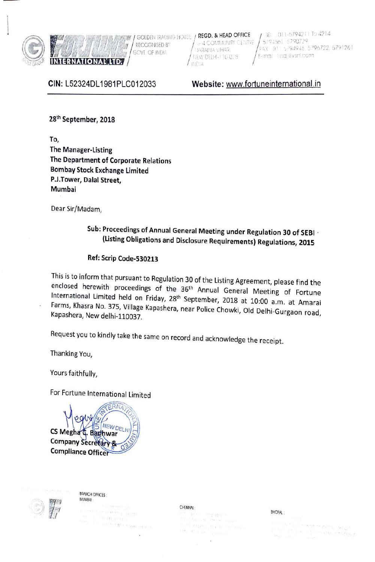

**l D OFFICE** , E, 0, 11-57942 1 To 4214<br> **C** OF OFFICE , E, 0, 11-57942 1 To 4214<br>
COVEREND BELHEN DURANT VIDEO , MEAD OF RECORD BY:  $\frac{1}{2}$  , and the set of the set of the set of the set of the set of the set of the set **AND CONDENSERVER FRIGHT FRANCH CONDENT RADING HOUSE / REGD. & HEAD OFFICE** / 161 011-579421 LERNATIONAL LTD. //

'I 01' .,.J?Al1 JA 'IH- <sup>I</sup>I l' !'.CT // GOVT OF IN , 1 !f:1,'.' IJl-LHl· 1 1 u U ~ E-rro ri:::, r vsr , ,

/ 5794561 5790729<br>FAX :D11-5794948 5796722 5791261

**CIN:** L52324DL 1981PLC012033

**Website:** www.fortuneinternational.in

**2sth September, 2018** 

**To, The Manager-Listing The Department of Corporate Relations Bombay Stock Exchange Limited P.J.Tower, Dalal Street, Mumbai** 

Dear Sir/Madam,

# **Sub: Proceedings of Annual General Meeting under Regulation 30 of SEBI** · **(Listing Obligations and Disclosure Requirements) Regulations, 2015**

# **Ref: Scrip Code-530213**

This is to inform that pursuant to Regulation 30 of the Listing Agreement, please find the enclosed herewith proceedings of the 36th Annual General Meeting of Fortune International Limited held on Friday, 28th September, 2018 at 10:00 a.m. at Amarai Farms, Khasra No. 375, Village Kapashera, near Police Chowki, Old Delhi-Gurgaon road, Kapashera, New delhi-110037.

Request you to kindly take the same on record and acknowledge the receipt.

Thanking You,

Yours faithfully,

For Fortune International Limited

CS Megha C. Bad **Company Secretary Compliance Office** 



BRANCH OFFICES : **MUMBAI** 

> $(1 - 24)$   $A = 11$ The EQUATIONS

#### CHENNAI :

#### BHOPAL: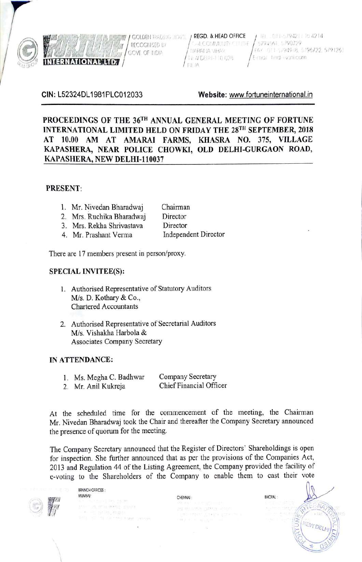

RECOGNISED BY GOVE OF INDIA

**GOLDEN TRADITIES HOUSE / REGD. & HEAD OFFICE C-4 COMMUNITY CLUSHE HARAILIA VIHAR** THI A/ DETHI-110 028 世正日本

 $1$  H<sub>1</sub>  $-011 - 5794211$  To 4214 5794561 5790729 FAY 011 5/94948, 5/96722, 5791261 E-mail timd (wani.com)

**CIN:** L52324DL 1981 PLC012033 **Website:** www.fortuneinternational.in

**PROCEEDINGS OF THE 36TH ANNUAL GENERAL MEETING OF FORTUNE INTERNATIONAL LIMITED HELD ON FRIDAY THE 28TH SEPTEMBER, 2018 AT 10.00 AM AT AMARAi FARMS, KHASRA NO. 375, VILLAGE KAPASHERA, NEAR POLICE CHOWKI, OLD DELHI-GURGAON ROAD, KAPASHERA, NEW DELHI-110037** 

#### **PRESENT:**

| 1. |  |  | Mr. Nivedan Bharadwaj | Chairman |  |
|----|--|--|-----------------------|----------|--|
|    |  |  |                       |          |  |

- 2. Mrs. Ruchika Bharadwaj Director
- 3. Mrs. Rekha Shrivastava **Director**
- 4. Mr. Prashant Verma Independent Director

There are 17 members present in person/proxy.

#### **SPECIAL INVITEE(S):**

- 1. Authorised Representative of Statutory Auditors M/s. D. Kothary & Co., Chartered Accountants
- 2. Authorised Representative of Secretarial Auditors M/s. Vishakha Harbola & Associates Company Secretary

#### **IN ATTENDANCE:**

- 1. Ms. Megha C. Badhwar Company Secretary
- 2. Mr. Anil Kukreja Chief Financial Officer

At the scheduled time for the commencement of the meeting, the Chairman Mr. Nivedan Bharadwaj took the Chair and thereafter the Company Secretary announced the presence of quorum for the meeting.

The Company Secretary announced that the Register of Directors' Shareholdings is open for inspection. She further announced that as per the provisions of the Companies Act, 2013 and Regulation 44 of the Listing Agreement, the Company provided the facility of e-voting to the Shareholders of the Company to enable them to cast their vote

BRANCH OFFICES :<br>MUMBAI MUMBAJ : CHENNAI : CHENNAI : BHOPAL :

 $\setminus$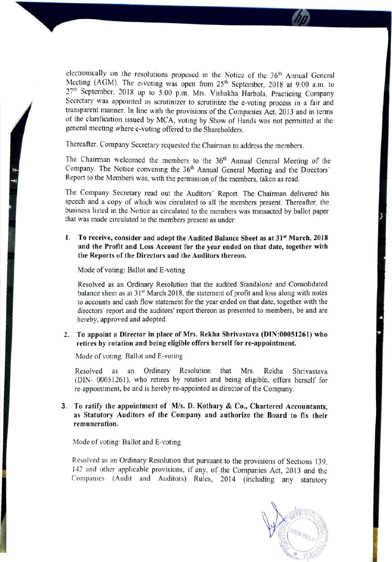electronically on the resolutions proposed in the Notice of the 36<sup>th</sup> Annual General Meeting (AGM). The e-voting was open from 25<sup>th</sup> September, 2018 at 9:00 a.m. to 27<sup>th</sup> September, 2018 up to 5:00 p.m. Mrs. Vishakha Harbola, Practicing Company Secretary was appointed as scrutinizer to scrutinize the e-voting process in a fair and transparent manner. In line with the provisions of the Companies Act, 2013 and in terms of the clarification issued by MCA, voting by Show of Hands was not pennitted at the general meeting where e-voting offered to the Shareholders.

Thereafter, Company Secretary requested the Chairman to address the members.

The Chairman welcomed the members to the 36<sup>th</sup> Annual General Meeting of the Company. The Notice convening the 36<sup>th</sup> Annual General Meeting and the Directors' Report to the Members was, with the permission of the members, taken as read.

The Company Secretary read out the Auditors' Report. The Chairman delivered his speech and a copy of which was circulated to all the members present. Thereafter, the business listed in the Notice as circulated to the members was transacted by ballot paper that was made circulated to the members present as under:

### I. **To receive, consider and adopt the Audited Balance Sheet as at 315t March, 2018 and the Profit and Loss Account for the year ended on that date, together with the Reports of the Directors and the Auditors thereon.**

Mode of voting: Ballot and E-voting

 $\frac{1}{2}$ 

Resolved as an Ordinary Resolution that the audited Standalone and Consolidated balance sheet as at  $31<sup>st</sup>$  March 2018, the statement of profit and loss along with notes to accounts and cash flow statement for the year ended on that date, together with the directors' report and the auditors' report thereon as presented to members, be and are hereby, approved and adopted.

## **2. To appoint a Director in place of Mrs. Rekha Shrivastava (DIN:00051261) who retires by rotation and being eligible offers herself for re-appointment.**

Mode of voting: Ballot and E-voting

Resolved as an Ordinary Resolution that Mrs. Rekha Shrivastava (DIN- 00051261), who retires by rotation and being eligible, offers herself for re-appointment, be and is hereby re-appointed as director of the Company.

**3. To ratify the appointment of Mis. D. Kothary** & **Co., Chartered Accountants, as Statutory Auditors of the Company and authorize the Board to fix their remuneration.** 

Mode of voting: Ballot and E-voting

Resolved as an Ordinary Resolution that pursuant to the provisions of Sections 139, 142 and other applicable provisions, if any, of the Companies Act, 2013 and the Companies (Audit and Auditors) Rules, 2014 (including any statutory